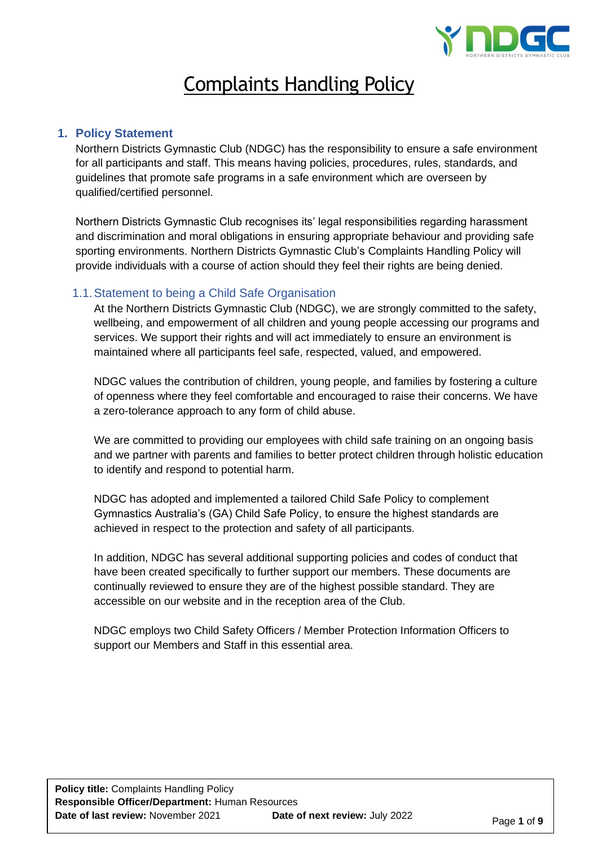

# Complaints Handling Policy

## **1. Policy Statement**

Northern Districts Gymnastic Club (NDGC) has the responsibility to ensure a safe environment for all participants and staff. This means having policies, procedures, rules, standards, and guidelines that promote safe programs in a safe environment which are overseen by qualified/certified personnel.

Northern Districts Gymnastic Club recognises its' legal responsibilities regarding harassment and discrimination and moral obligations in ensuring appropriate behaviour and providing safe sporting environments. Northern Districts Gymnastic Club's Complaints Handling Policy will provide individuals with a course of action should they feel their rights are being denied.

## 1.1.Statement to being a Child Safe Organisation

At the Northern Districts Gymnastic Club (NDGC), we are strongly committed to the safety, wellbeing, and empowerment of all children and young people accessing our programs and services. We support their rights and will act immediately to ensure an environment is maintained where all participants feel safe, respected, valued, and empowered.

NDGC values the contribution of children, young people, and families by fostering a culture of openness where they feel comfortable and encouraged to raise their concerns. We have a zero-tolerance approach to any form of child abuse.

We are committed to providing our employees with child safe training on an ongoing basis and we partner with parents and families to better protect children through holistic education to identify and respond to potential harm.

NDGC has adopted and implemented a tailored Child Safe Policy to complement Gymnastics Australia's (GA) Child Safe Policy, to ensure the highest standards are achieved in respect to the protection and safety of all participants.

In addition, NDGC has several additional supporting policies and codes of conduct that have been created specifically to further support our members. These documents are continually reviewed to ensure they are of the highest possible standard. They are accessible on our website and in the reception area of the Club.

NDGC employs two Child Safety Officers / Member Protection Information Officers to support our Members and Staff in this essential area.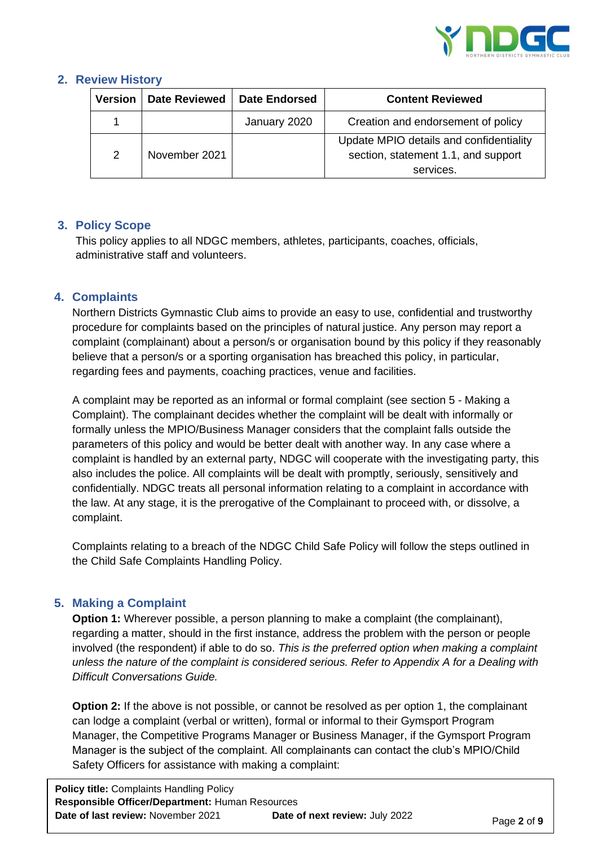

# **2. Review History**

| Version | <b>Date Reviewed</b> | <b>Date Endorsed</b> | <b>Content Reviewed</b>                                                                     |
|---------|----------------------|----------------------|---------------------------------------------------------------------------------------------|
|         |                      | January 2020         | Creation and endorsement of policy                                                          |
| 2       | November 2021        |                      | Update MPIO details and confidentiality<br>section, statement 1.1, and support<br>services. |

# **3. Policy Scope**

This policy applies to all NDGC members, athletes, participants, coaches, officials, administrative staff and volunteers.

# **4. Complaints**

Northern Districts Gymnastic Club aims to provide an easy to use, confidential and trustworthy procedure for complaints based on the principles of natural justice. Any person may report a complaint (complainant) about a person/s or organisation bound by this policy if they reasonably believe that a person/s or a sporting organisation has breached this policy, in particular, regarding fees and payments, coaching practices, venue and facilities.

A complaint may be reported as an informal or formal complaint (see section 5 - Making a Complaint). The complainant decides whether the complaint will be dealt with informally or formally unless the MPIO/Business Manager considers that the complaint falls outside the parameters of this policy and would be better dealt with another way. In any case where a complaint is handled by an external party, NDGC will cooperate with the investigating party, this also includes the police. All complaints will be dealt with promptly, seriously, sensitively and confidentially. NDGC treats all personal information relating to a complaint in accordance with the law. At any stage, it is the prerogative of the Complainant to proceed with, or dissolve, a complaint.

Complaints relating to a breach of the NDGC Child Safe Policy will follow the steps outlined in the Child Safe Complaints Handling Policy.

## **5. Making a Complaint**

**Option 1:** Wherever possible, a person planning to make a complaint (the complainant), regarding a matter, should in the first instance, address the problem with the person or people involved (the respondent) if able to do so. *This is the preferred option when making a complaint unless the nature of the complaint is considered serious. Refer to Appendix A for a Dealing with Difficult Conversations Guide.*

**Option 2:** If the above is not possible, or cannot be resolved as per option 1, the complainant can lodge a complaint (verbal or written), formal or informal to their Gymsport Program Manager, the Competitive Programs Manager or Business Manager, if the Gymsport Program Manager is the subject of the complaint. All complainants can contact the club's MPIO/Child Safety Officers for assistance with making a complaint:

**Policy title:** Complaints Handling Policy **Responsible Officer/Department:** Human Resources **Date of last review:** November 2021 **Date of next review:** July 2022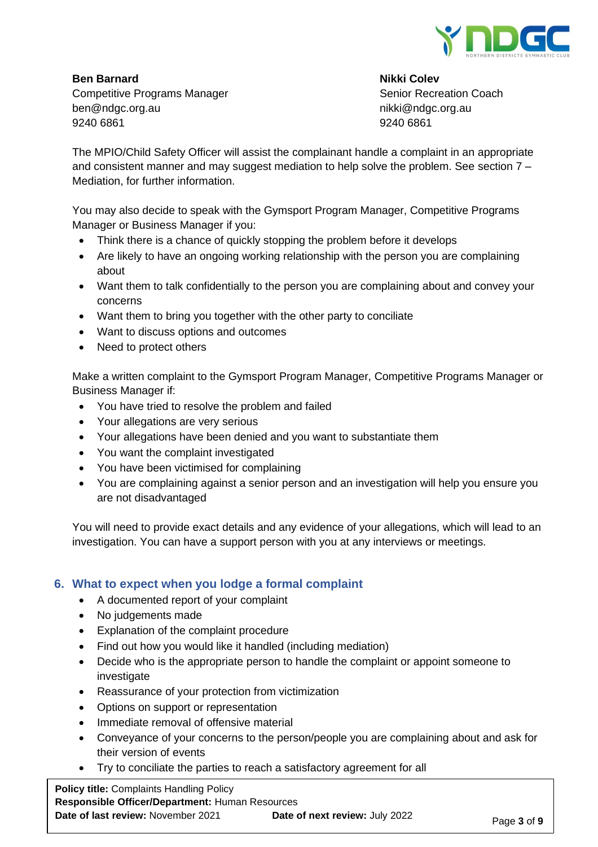

**Ben Barnard Nikki Colev** Competitive Programs Manager **Senior Recreation Coach** Senior Recreation Coach ben@ndgc.org.au nikki@ndgc.org.au nikki@ndgc.org.au nikki 9240 6861 9240 6861

The MPIO/Child Safety Officer will assist the complainant handle a complaint in an appropriate and consistent manner and may suggest mediation to help solve the problem. See section 7 – Mediation, for further information.

You may also decide to speak with the Gymsport Program Manager, Competitive Programs Manager or Business Manager if you:

- Think there is a chance of quickly stopping the problem before it develops
- Are likely to have an ongoing working relationship with the person you are complaining about
- Want them to talk confidentially to the person you are complaining about and convey your concerns
- Want them to bring you together with the other party to conciliate
- Want to discuss options and outcomes
- Need to protect others

Make a written complaint to the Gymsport Program Manager, Competitive Programs Manager or Business Manager if:

- You have tried to resolve the problem and failed
- Your allegations are very serious
- Your allegations have been denied and you want to substantiate them
- You want the complaint investigated
- You have been victimised for complaining
- You are complaining against a senior person and an investigation will help you ensure you are not disadvantaged

You will need to provide exact details and any evidence of your allegations, which will lead to an investigation. You can have a support person with you at any interviews or meetings.

## **6. What to expect when you lodge a formal complaint**

- A documented report of your complaint
- No judgements made
- Explanation of the complaint procedure
- Find out how you would like it handled (including mediation)
- Decide who is the appropriate person to handle the complaint or appoint someone to investigate
- Reassurance of your protection from victimization
- Options on support or representation
- Immediate removal of offensive material
- Conveyance of your concerns to the person/people you are complaining about and ask for their version of events
- Try to conciliate the parties to reach a satisfactory agreement for all

**Policy title:** Complaints Handling Policy **Responsible Officer/Department:** Human Resources **Date of last review:** November 2021 **Date of next review:** July 2022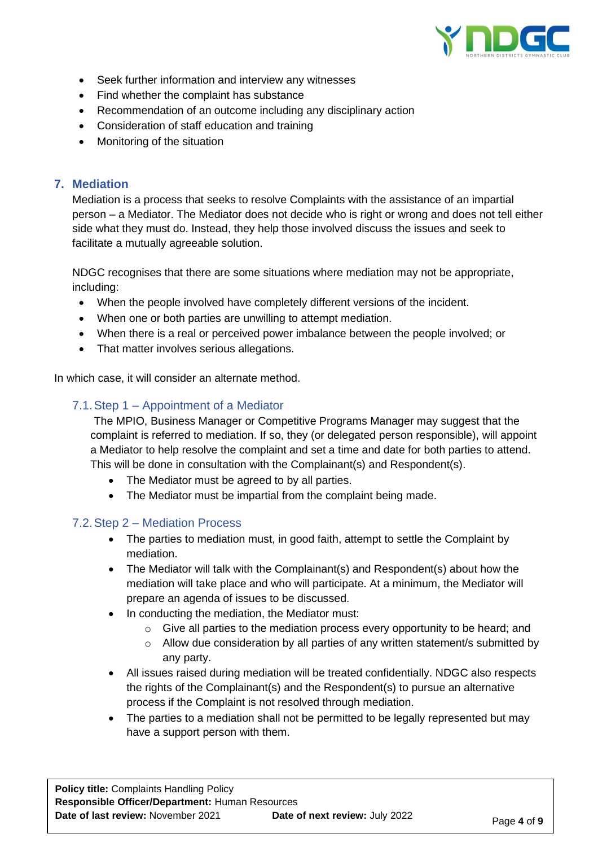

- Seek further information and interview any witnesses
- Find whether the complaint has substance
- Recommendation of an outcome including any disciplinary action
- Consideration of staff education and training
- Monitoring of the situation

### **7. Mediation**

Mediation is a process that seeks to resolve Complaints with the assistance of an impartial person – a Mediator. The Mediator does not decide who is right or wrong and does not tell either side what they must do. Instead, they help those involved discuss the issues and seek to facilitate a mutually agreeable solution.

NDGC recognises that there are some situations where mediation may not be appropriate, including:

- When the people involved have completely different versions of the incident.
- When one or both parties are unwilling to attempt mediation.
- When there is a real or perceived power imbalance between the people involved; or
- That matter involves serious allegations.

In which case, it will consider an alternate method.

#### 7.1.Step 1 – Appointment of a Mediator

The MPIO, Business Manager or Competitive Programs Manager may suggest that the complaint is referred to mediation. If so, they (or delegated person responsible), will appoint a Mediator to help resolve the complaint and set a time and date for both parties to attend. This will be done in consultation with the Complainant(s) and Respondent(s).

- The Mediator must be agreed to by all parties.
- The Mediator must be impartial from the complaint being made.

#### 7.2.Step 2 – Mediation Process

- The parties to mediation must, in good faith, attempt to settle the Complaint by mediation.
- The Mediator will talk with the Complainant(s) and Respondent(s) about how the mediation will take place and who will participate. At a minimum, the Mediator will prepare an agenda of issues to be discussed.
- In conducting the mediation, the Mediator must:
	- $\circ$  Give all parties to the mediation process every opportunity to be heard; and
	- $\circ$  Allow due consideration by all parties of any written statement/s submitted by any party.
- All issues raised during mediation will be treated confidentially. NDGC also respects the rights of the Complainant(s) and the Respondent(s) to pursue an alternative process if the Complaint is not resolved through mediation.
- The parties to a mediation shall not be permitted to be legally represented but may have a support person with them.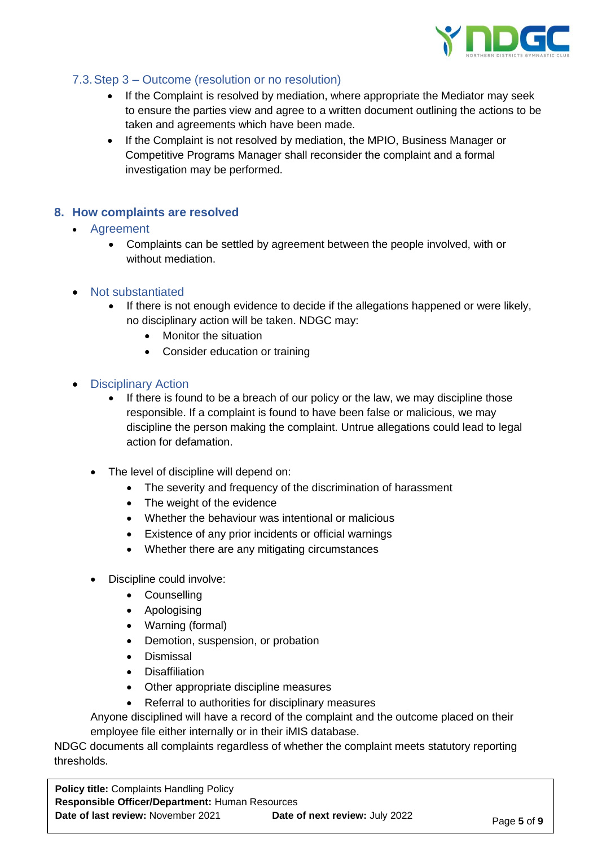

# 7.3.Step 3 – Outcome (resolution or no resolution)

- If the Complaint is resolved by mediation, where appropriate the Mediator may seek to ensure the parties view and agree to a written document outlining the actions to be taken and agreements which have been made.
- If the Complaint is not resolved by mediation, the MPIO, Business Manager or Competitive Programs Manager shall reconsider the complaint and a formal investigation may be performed.

#### **8. How complaints are resolved**

- Agreement
	- Complaints can be settled by agreement between the people involved, with or without mediation.
- Not substantiated
	- If there is not enough evidence to decide if the allegations happened or were likely, no disciplinary action will be taken. NDGC may:
		- Monitor the situation
		- Consider education or training
- Disciplinary Action
	- If there is found to be a breach of our policy or the law, we may discipline those responsible. If a complaint is found to have been false or malicious, we may discipline the person making the complaint. Untrue allegations could lead to legal action for defamation.
	- The level of discipline will depend on:
		- The severity and frequency of the discrimination of harassment
		- The weight of the evidence
		- Whether the behaviour was intentional or malicious
		- Existence of any prior incidents or official warnings
		- Whether there are any mitigating circumstances
	- Discipline could involve:
		- Counselling
		- Apologising
		- Warning (formal)
		- Demotion, suspension, or probation
		- Dismissal
		- Disaffiliation
		- Other appropriate discipline measures
		- Referral to authorities for disciplinary measures

Anyone disciplined will have a record of the complaint and the outcome placed on their employee file either internally or in their iMIS database.

NDGC documents all complaints regardless of whether the complaint meets statutory reporting thresholds.

**Policy title:** Complaints Handling Policy **Responsible Officer/Department:** Human Resources **Date of last review:** November 2021 **Date of next review:** July 2022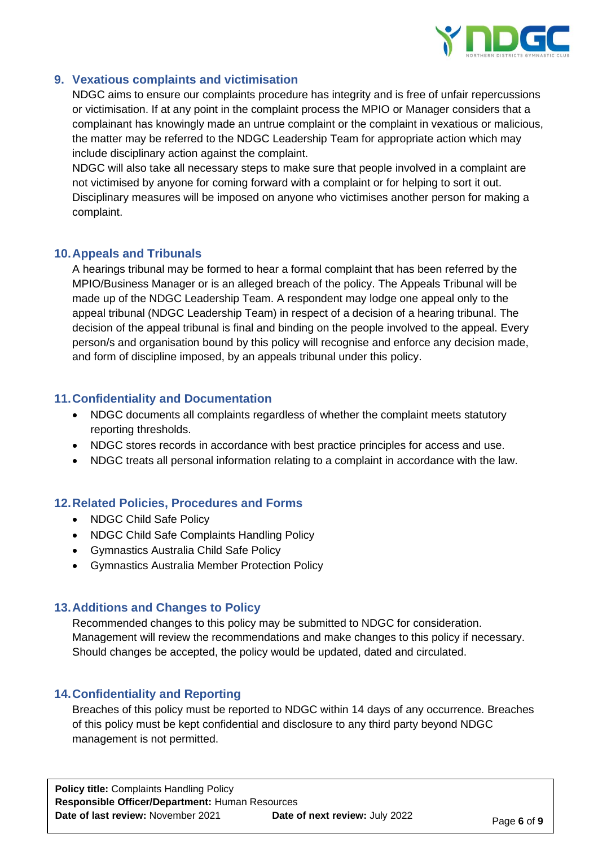

## **9. Vexatious complaints and victimisation**

NDGC aims to ensure our complaints procedure has integrity and is free of unfair repercussions or victimisation. If at any point in the complaint process the MPIO or Manager considers that a complainant has knowingly made an untrue complaint or the complaint in vexatious or malicious, the matter may be referred to the NDGC Leadership Team for appropriate action which may include disciplinary action against the complaint.

NDGC will also take all necessary steps to make sure that people involved in a complaint are not victimised by anyone for coming forward with a complaint or for helping to sort it out. Disciplinary measures will be imposed on anyone who victimises another person for making a complaint.

#### **10.Appeals and Tribunals**

A hearings tribunal may be formed to hear a formal complaint that has been referred by the MPIO/Business Manager or is an alleged breach of the policy. The Appeals Tribunal will be made up of the NDGC Leadership Team. A respondent may lodge one appeal only to the appeal tribunal (NDGC Leadership Team) in respect of a decision of a hearing tribunal. The decision of the appeal tribunal is final and binding on the people involved to the appeal. Every person/s and organisation bound by this policy will recognise and enforce any decision made, and form of discipline imposed, by an appeals tribunal under this policy.

#### **11.Confidentiality and Documentation**

- NDGC documents all complaints regardless of whether the complaint meets statutory reporting thresholds.
- NDGC stores records in accordance with best practice principles for access and use.
- NDGC treats all personal information relating to a complaint in accordance with the law.

#### **12.Related Policies, Procedures and Forms**

- NDGC Child Safe Policy
- NDGC Child Safe Complaints Handling Policy
- Gymnastics Australia Child Safe Policy
- Gymnastics Australia Member Protection Policy

#### **13.Additions and Changes to Policy**

Recommended changes to this policy may be submitted to NDGC for consideration. Management will review the recommendations and make changes to this policy if necessary. Should changes be accepted, the policy would be updated, dated and circulated.

#### **14.Confidentiality and Reporting**

Breaches of this policy must be reported to NDGC within 14 days of any occurrence. Breaches of this policy must be kept confidential and disclosure to any third party beyond NDGC management is not permitted.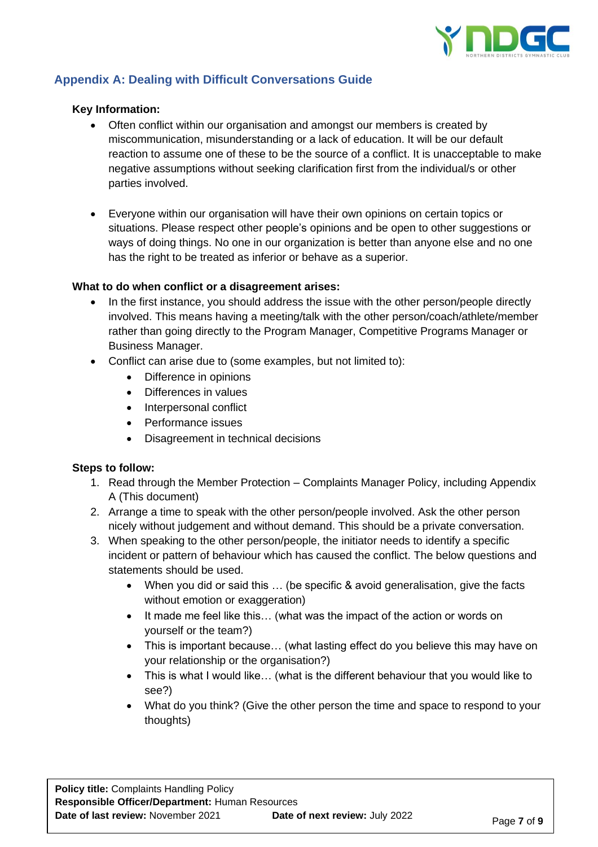

# **Appendix A: Dealing with Difficult Conversations Guide**

#### **Key Information:**

- Often conflict within our organisation and amongst our members is created by miscommunication, misunderstanding or a lack of education. It will be our default reaction to assume one of these to be the source of a conflict. It is unacceptable to make negative assumptions without seeking clarification first from the individual/s or other parties involved.
- Everyone within our organisation will have their own opinions on certain topics or situations. Please respect other people's opinions and be open to other suggestions or ways of doing things. No one in our organization is better than anyone else and no one has the right to be treated as inferior or behave as a superior.

#### **What to do when conflict or a disagreement arises:**

- In the first instance, you should address the issue with the other person/people directly involved. This means having a meeting/talk with the other person/coach/athlete/member rather than going directly to the Program Manager, Competitive Programs Manager or Business Manager.
- Conflict can arise due to (some examples, but not limited to):
	- Difference in opinions
	- Differences in values
	- Interpersonal conflict
	- Performance issues
	- Disagreement in technical decisions

#### **Steps to follow:**

- 1. Read through the Member Protection Complaints Manager Policy, including Appendix A (This document)
- 2. Arrange a time to speak with the other person/people involved. Ask the other person nicely without judgement and without demand. This should be a private conversation.
- 3. When speaking to the other person/people, the initiator needs to identify a specific incident or pattern of behaviour which has caused the conflict. The below questions and statements should be used.
	- When you did or said this … (be specific & avoid generalisation, give the facts without emotion or exaggeration)
	- It made me feel like this… (what was the impact of the action or words on yourself or the team?)
	- This is important because… (what lasting effect do you believe this may have on your relationship or the organisation?)
	- This is what I would like… (what is the different behaviour that you would like to see?)
	- What do you think? (Give the other person the time and space to respond to your thoughts)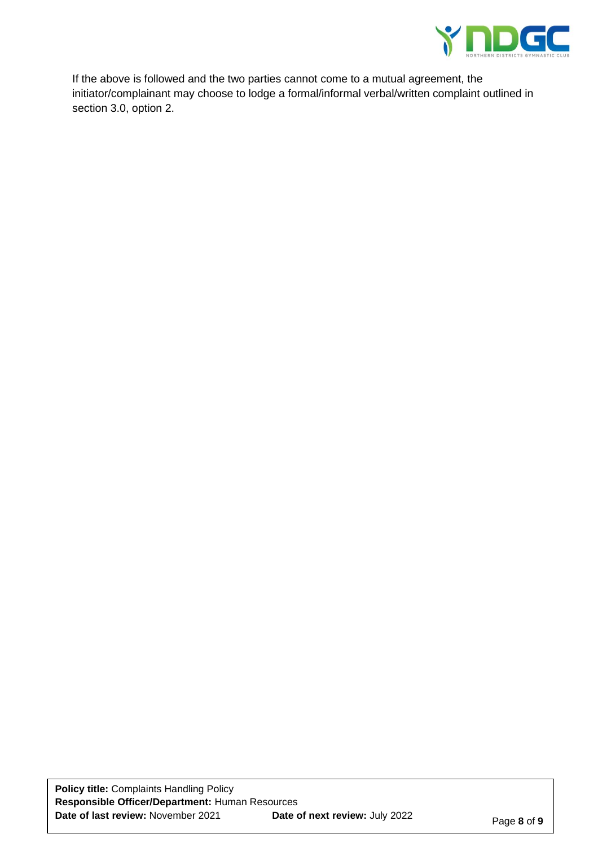

If the above is followed and the two parties cannot come to a mutual agreement, the initiator/complainant may choose to lodge a formal/informal verbal/written complaint outlined in section 3.0, option 2.